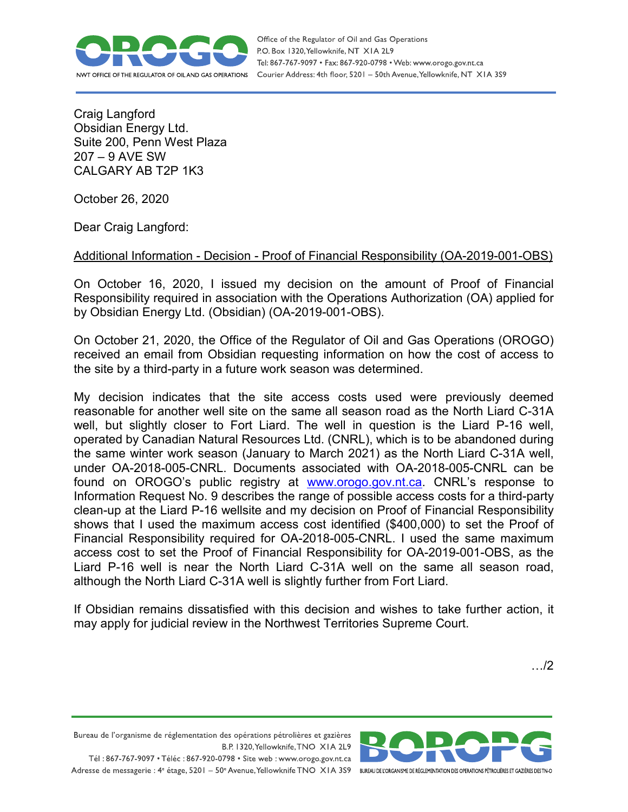

Office of the Regulator of Oil and Gas Operations P.O. Box 1320, Yellowknife, NT XIA 2L9 Tel: 867-767-9097 • Fax: 867-920-0798 • Web: www.orogo.gov.nt.ca Courier Address: 4th floor, 5201 - 50th Avenue, Yellowknife, NT XIA 3S9

Craig Langford Obsidian Energy Ltd. Suite 200, Penn West Plaza 207 – 9 AVE SW CALGARY AB T2P 1K3

October 26, 2020

Dear Craig Langford:

## Additional Information - Decision - Proof of Financial Responsibility (OA-2019-001-OBS)

On October 16, 2020, I issued my decision on the amount of Proof of Financial Responsibility required in association with the Operations Authorization (OA) applied for by Obsidian Energy Ltd. (Obsidian) (OA-2019-001-OBS).

On October 21, 2020, the Office of the Regulator of Oil and Gas Operations (OROGO) received an email from Obsidian requesting information on how the cost of access to the site by a third-party in a future work season was determined.

My decision indicates that the site access costs used were previously deemed reasonable for another well site on the same all season road as the North Liard C-31A well, but slightly closer to Fort Liard. The well in question is the Liard P-16 well, operated by Canadian Natural Resources Ltd. (CNRL), which is to be abandoned during the same winter work season (January to March 2021) as the North Liard C-31A well, under OA-2018-005-CNRL. Documents associated with OA-2018-005-CNRL can be found on OROGO's public registry at [www.orogo.gov.nt.ca.](http://www.orogo.gov.nt.ca/) CNRL's response to Information Request No. 9 describes the range of possible access costs for a third-party clean-up at the Liard P-16 wellsite and my decision on Proof of Financial Responsibility shows that I used the maximum access cost identified (\$400,000) to set the Proof of Financial Responsibility required for OA-2018-005-CNRL. I used the same maximum access cost to set the Proof of Financial Responsibility for OA-2019-001-OBS, as the Liard P-16 well is near the North Liard C-31A well on the same all season road, although the North Liard C-31A well is slightly further from Fort Liard.

If Obsidian remains dissatisfied with this decision and wishes to take further action, it may apply for judicial review in the Northwest Territories Supreme Court.

…/2

Bureau de l'organisme de réglementation des opérations pétrolières et gazières B.P. 1320, Yellowknife, TNO XIA 2L9

Tél: 867-767-9097 • Téléc: 867-920-0798 • Site web: www.orogo.gov.nt.ca Adresse de messagerie : 4<sup>e</sup> étage, 5201 - 50° Avenue, Yellowknife TNO XIA 3S9 BUREAU DE L'ORGANISME DE RÉGLEMENTATION DES OPERATIONS PÉTROLIÈRES ET GAZIÈRES DESTNO